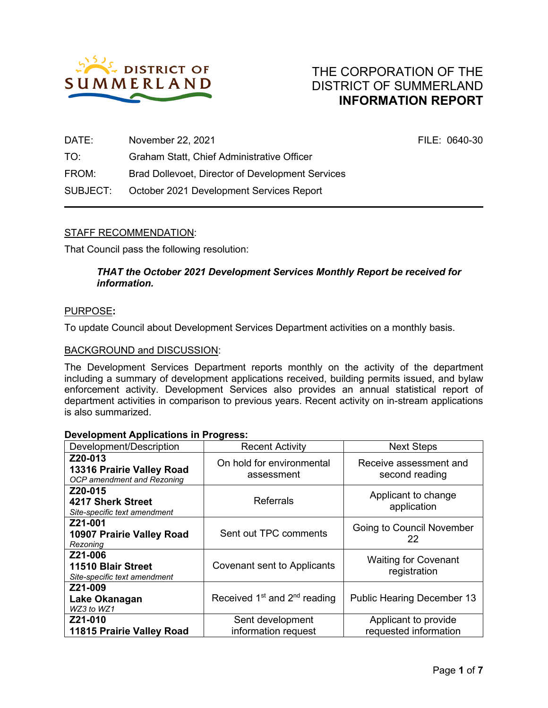

FILE: 0640-30

| DATE:    | November 22, 2021                                       |
|----------|---------------------------------------------------------|
| TO:      | Graham Statt, Chief Administrative Officer              |
| FROM:    | <b>Brad Dollevoet, Director of Development Services</b> |
| SUBJECT: | October 2021 Development Services Report                |

## STAFF RECOMMENDATION:

That Council pass the following resolution:

#### *THAT the October 2021 Development Services Monthly Report be received for information.*

#### PURPOSE**:**

To update Council about Development Services Department activities on a monthly basis.

#### BACKGROUND and DISCUSSION:

The Development Services Department reports monthly on the activity of the department including a summary of development applications received, building permits issued, and bylaw enforcement activity. Development Services also provides an annual statistical report of department activities in comparison to previous years. Recent activity on in-stream applications is also summarized.

| Development/Description                                            | <b>Recent Activity</b>                               | <b>Next Steps</b>                             |  |
|--------------------------------------------------------------------|------------------------------------------------------|-----------------------------------------------|--|
| Z20-013<br>13316 Prairie Valley Road<br>OCP amendment and Rezoning | On hold for environmental<br>assessment              | Receive assessment and<br>second reading      |  |
| Z20-015<br>4217 Sherk Street<br>Site-specific text amendment       | <b>Referrals</b>                                     | Applicant to change<br>application            |  |
| Z21-001<br>10907 Prairie Valley Road<br>Rezoning                   | Sent out TPC comments                                | <b>Going to Council November</b><br>22        |  |
| Z21-006<br>11510 Blair Street<br>Site-specific text amendment      | Covenant sent to Applicants                          | <b>Waiting for Covenant</b><br>registration   |  |
| Z21-009<br>Lake Okanagan<br>WZ3 to WZ1                             | Received 1 <sup>st</sup> and 2 <sup>nd</sup> reading | <b>Public Hearing December 13</b>             |  |
| Z21-010<br>11815 Prairie Valley Road                               | Sent development<br>information request              | Applicant to provide<br>requested information |  |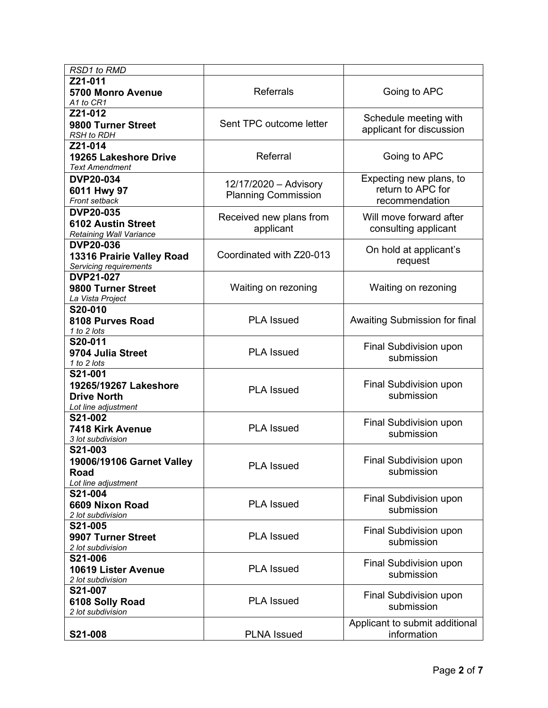| RSD1 to RMD                                                                   |                                                     |                                                                |  |
|-------------------------------------------------------------------------------|-----------------------------------------------------|----------------------------------------------------------------|--|
| Z21-011<br><b>5700 Monro Avenue</b><br>A1 to CR1                              | <b>Referrals</b>                                    | Going to APC                                                   |  |
| Z21-012<br>9800 Turner Street<br><b>RSH</b> to RDH                            | Sent TPC outcome letter                             | Schedule meeting with<br>applicant for discussion              |  |
| Z21-014<br>19265 Lakeshore Drive<br><b>Text Amendment</b>                     | Referral                                            | Going to APC                                                   |  |
| <b>DVP20-034</b><br>6011 Hwy 97<br>Front setback                              | 12/17/2020 - Advisory<br><b>Planning Commission</b> | Expecting new plans, to<br>return to APC for<br>recommendation |  |
| <b>DVP20-035</b><br><b>6102 Austin Street</b><br>Retaining Wall Variance      | Received new plans from<br>applicant                | Will move forward after<br>consulting applicant                |  |
| <b>DVP20-036</b><br>13316 Prairie Valley Road<br>Servicing requirements       | Coordinated with Z20-013                            | On hold at applicant's<br>request                              |  |
| <b>DVP21-027</b><br>9800 Turner Street<br>La Vista Project                    | Waiting on rezoning                                 |                                                                |  |
| S20-010<br>8108 Purves Road<br>1 to 2 lots                                    | <b>PLA Issued</b>                                   | Awaiting Submission for final                                  |  |
| S20-011<br>9704 Julia Street<br>1 to 2 lots                                   | <b>PLA Issued</b>                                   | Final Subdivision upon<br>submission                           |  |
| S21-001<br>19265/19267 Lakeshore<br><b>Drive North</b><br>Lot line adjustment | <b>PLA Issued</b>                                   | Final Subdivision upon<br>submission                           |  |
| S21-002<br>7418 Kirk Avenue<br>3 lot subdivision                              | <b>PLA Issued</b>                                   | Final Subdivision upon<br>submission                           |  |
| S21-003<br>19006/19106 Garnet Valley<br><b>Road</b><br>Lot line adjustment    | <b>PLA Issued</b>                                   |                                                                |  |
| S21-004<br>6609 Nixon Road<br>2 lot subdivision                               | <b>PLA Issued</b>                                   | Final Subdivision upon<br>submission                           |  |
| S21-005<br>9907 Turner Street<br>2 lot subdivision                            | <b>PLA Issued</b>                                   | Final Subdivision upon<br>submission                           |  |
| S21-006<br>10619 Lister Avenue<br>2 lot subdivision                           | <b>PLA Issued</b>                                   | Final Subdivision upon<br>submission                           |  |
| S21-007<br><b>PLA Issued</b><br>6108 Solly Road<br>2 lot subdivision          |                                                     | Final Subdivision upon<br>submission                           |  |
| S21-008                                                                       | <b>PLNA</b> Issued                                  | Applicant to submit additional<br>information                  |  |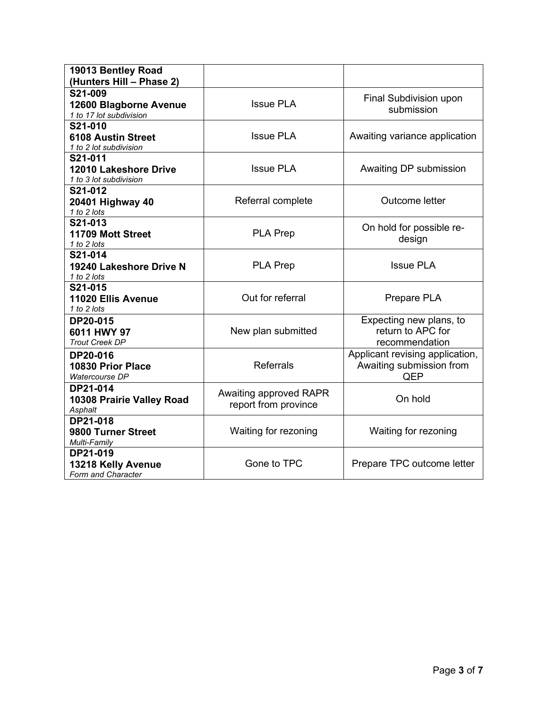| 19013 Bentley Road<br>(Hunters Hill - Phase 2)                                 |                                                |                                                                    |  |
|--------------------------------------------------------------------------------|------------------------------------------------|--------------------------------------------------------------------|--|
| S21-009<br>12600 Blagborne Avenue<br>1 to 17 lot subdivision                   | <b>Issue PLA</b>                               | Final Subdivision upon<br>submission                               |  |
| S21-010<br><b>6108 Austin Street</b><br>1 to 2 lot subdivision                 | <b>Issue PLA</b>                               | Awaiting variance application                                      |  |
| S21-011<br><b>Issue PLA</b><br>12010 Lakeshore Drive<br>1 to 3 lot subdivision |                                                | Awaiting DP submission                                             |  |
| S21-012<br>20401 Highway 40<br>1 to 2 lots                                     | Referral complete                              | Outcome letter                                                     |  |
| S21-013<br>11709 Mott Street<br>1 to 2 lots                                    | <b>PLA Prep</b>                                | On hold for possible re-<br>design                                 |  |
| S21-014<br>19240 Lakeshore Drive N<br>1 to 2 lots                              | <b>PLA Prep</b>                                | <b>Issue PLA</b>                                                   |  |
| S21-015<br>11020 Ellis Avenue<br>1 to 2 lots                                   | Out for referral                               | Prepare PLA                                                        |  |
| DP20-015<br>6011 HWY 97<br><b>Trout Creek DP</b>                               | New plan submitted                             | Expecting new plans, to<br>return to APC for<br>recommendation     |  |
| DP20-016<br>10830 Prior Place<br>Watercourse DP                                | <b>Referrals</b>                               | Applicant revising application,<br>Awaiting submission from<br>QEP |  |
| DP21-014<br>10308 Prairie Valley Road<br>Asphalt                               | Awaiting approved RAPR<br>report from province | On hold                                                            |  |
| DP21-018<br>9800 Turner Street<br>Multi-Family                                 | Waiting for rezoning                           | Waiting for rezoning                                               |  |
| DP21-019<br>13218 Kelly Avenue<br>Form and Character                           | Gone to TPC                                    | Prepare TPC outcome letter                                         |  |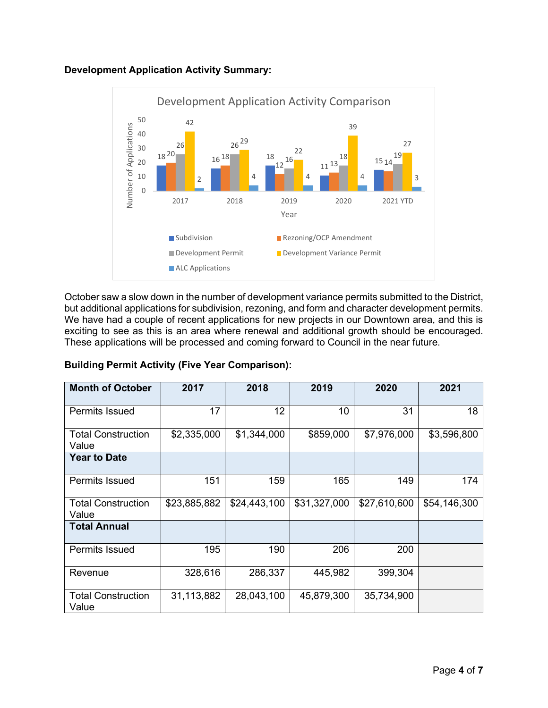



October saw a slow down in the number of development variance permits submitted to the District, but additional applications for subdivision, rezoning, and form and character development permits. We have had a couple of recent applications for new projects in our Downtown area, and this is exciting to see as this is an area where renewal and additional growth should be encouraged. These applications will be processed and coming forward to Council in the near future.

| <b>Building Permit Activity (Five Year Comparison):</b> |  |
|---------------------------------------------------------|--|
|---------------------------------------------------------|--|

| <b>Month of October</b>            | 2017         | 2018         | 2019         | 2020         | 2021         |
|------------------------------------|--------------|--------------|--------------|--------------|--------------|
| <b>Permits Issued</b>              | 17           | 12           | 10           | 31           | 18           |
| <b>Total Construction</b><br>Value | \$2,335,000  | \$1,344,000  | \$859,000    | \$7,976,000  | \$3,596,800  |
| <b>Year to Date</b>                |              |              |              |              |              |
| <b>Permits Issued</b>              | 151          | 159          | 165          | 149          | 174          |
| <b>Total Construction</b><br>Value | \$23,885,882 | \$24,443,100 | \$31,327,000 | \$27,610,600 | \$54,146,300 |
| <b>Total Annual</b>                |              |              |              |              |              |
| <b>Permits Issued</b>              | 195          | 190          | 206          | 200          |              |
| Revenue                            | 328,616      | 286,337      | 445,982      | 399,304      |              |
| <b>Total Construction</b><br>Value | 31,113,882   | 28,043,100   | 45,879,300   | 35,734,900   |              |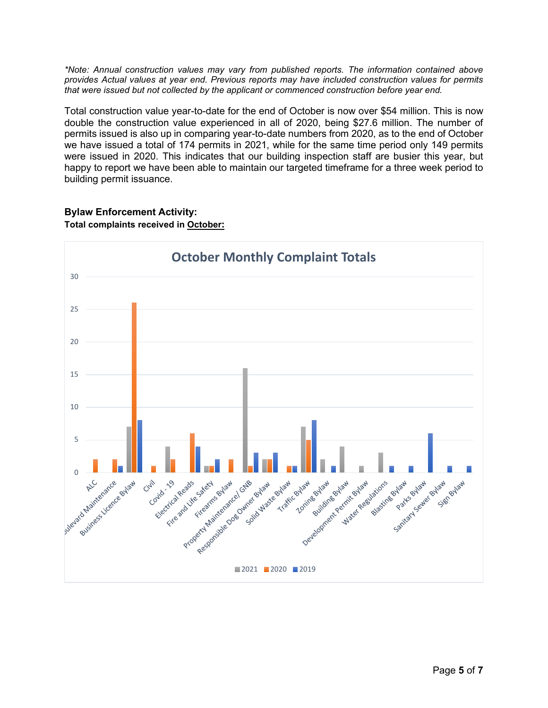*\*Note: Annual construction values may vary from published reports. The information contained above provides Actual values at year end. Previous reports may have included construction values for permits that were issued but not collected by the applicant or commenced construction before year end.*

Total construction value year-to-date for the end of October is now over \$54 million. This is now double the construction value experienced in all of 2020, being \$27.6 million. The number of permits issued is also up in comparing year-to-date numbers from 2020, as to the end of October we have issued a total of 174 permits in 2021, while for the same time period only 149 permits were issued in 2020. This indicates that our building inspection staff are busier this year, but happy to report we have been able to maintain our targeted timeframe for a three week period to building permit issuance.

# **Bylaw Enforcement Activity:**



## **Total complaints received in October:**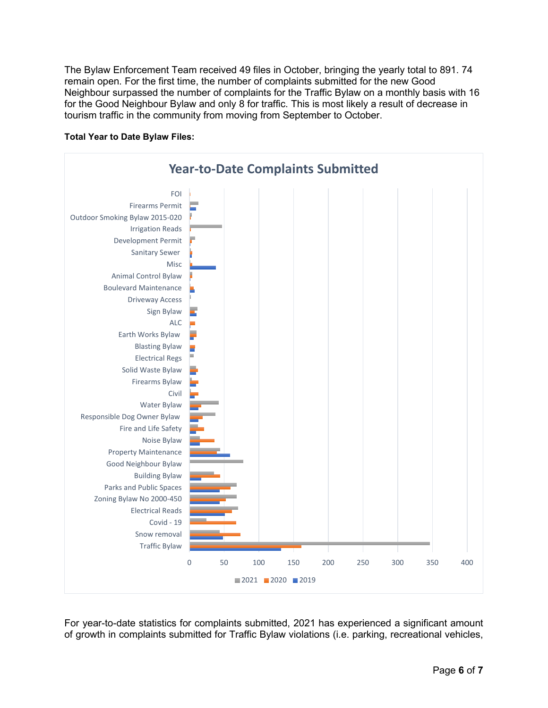The Bylaw Enforcement Team received 49 files in October, bringing the yearly total to 891. 74 remain open. For the first time, the number of complaints submitted for the new Good Neighbour surpassed the number of complaints for the Traffic Bylaw on a monthly basis with 16 for the Good Neighbour Bylaw and only 8 for traffic. This is most likely a result of decrease in tourism traffic in the community from moving from September to October.



#### **Total Year to Date Bylaw Files:**

For year-to-date statistics for complaints submitted, 2021 has experienced a significant amount of growth in complaints submitted for Traffic Bylaw violations (i.e. parking, recreational vehicles,